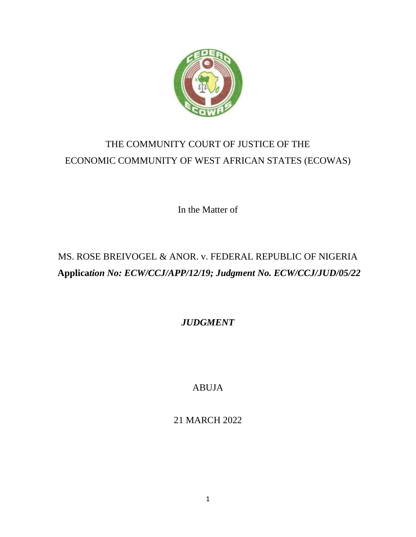

# THE COMMUNITY COURT OF JUSTICE OF THE ECONOMIC COMMUNITY OF WEST AFRICAN STATES (ECOWAS)

In the Matter of

# MS. ROSE BREIVOGEL & ANOR. v. FEDERAL REPUBLIC OF NIGERIA **Applica***tion No: ECW/CCJ/APP/12/19; Judgment No. ECW/CCJ/JUD/05/22*

*JUDGMENT*

ABUJA

21 MARCH 2022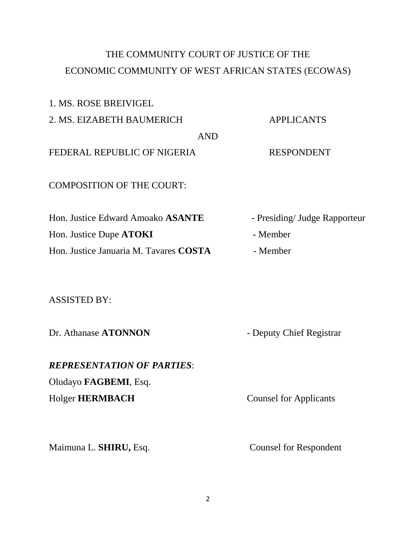# THE COMMUNITY COURT OF JUSTICE OF THE ECONOMIC COMMUNITY OF WEST AFRICAN STATES (ECOWAS)

1. MS. ROSE BREIVIGEL 2. MS. EIZABETH BAUMERICH APPLICANTS AND FEDERAL REPUBLIC OF NIGERIA RESPONDENT COMPOSITION OF THE COURT: Hon. Justice Edward Amoako **ASANTE** - Presiding/ Judge Rapporteur Hon. Justice Dupe **ATOKI** - Member Hon. Justice Januaria M. Tavares **COSTA** - Member

ASSISTED BY:

Dr. Athanase **ATONNON** - Deputy Chief Registrar

*REPRESENTATION OF PARTIES*: Oludayo **FAGBEMI**, Esq. Holger **HERMBACH** Counsel for Applicants

Maimuna L. **SHIRU**, Esq. Counsel for Respondent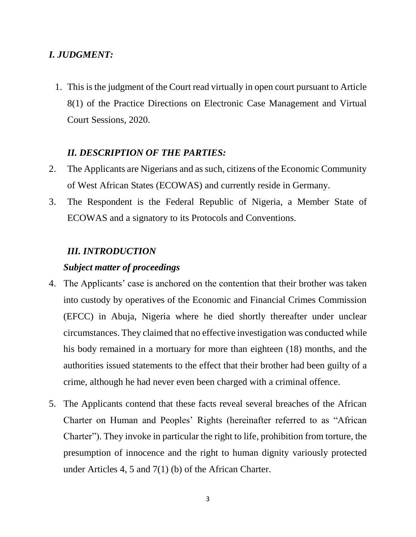# *I. JUDGMENT:*

1. This is the judgment of the Court read virtually in open court pursuant to Article 8(1) of the Practice Directions on Electronic Case Management and Virtual Court Sessions, 2020.

## *II. DESCRIPTION OF THE PARTIES:*

- 2. The Applicants are Nigerians and as such, citizens of the Economic Community of West African States (ECOWAS) and currently reside in Germany.
- 3. The Respondent is the Federal Republic of Nigeria, a Member State of ECOWAS and a signatory to its Protocols and Conventions.

## *III. INTRODUCTION*

## *Subject matter of proceedings*

- 4. The Applicants' case is anchored on the contention that their brother was taken into custody by operatives of the Economic and Financial Crimes Commission (EFCC) in Abuja, Nigeria where he died shortly thereafter under unclear circumstances. They claimed that no effective investigation was conducted while his body remained in a mortuary for more than eighteen (18) months, and the authorities issued statements to the effect that their brother had been guilty of a crime, although he had never even been charged with a criminal offence.
- 5. The Applicants contend that these facts reveal several breaches of the African Charter on Human and Peoples' Rights (hereinafter referred to as "African Charter"). They invoke in particular the right to life, prohibition from torture, the presumption of innocence and the right to human dignity variously protected under Articles 4, 5 and 7(1) (b) of the African Charter.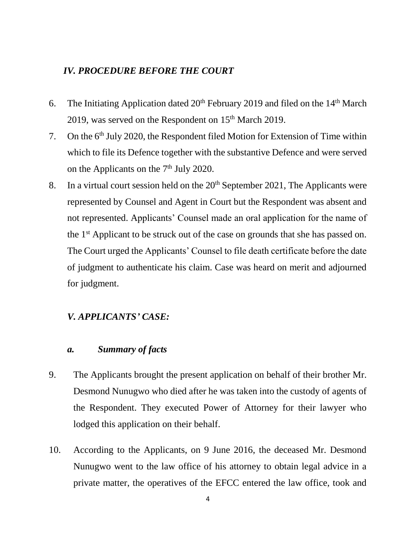## *IV. PROCEDURE BEFORE THE COURT*

- 6. The Initiating Application dated  $20<sup>th</sup>$  February 2019 and filed on the  $14<sup>th</sup>$  March 2019, was served on the Respondent on  $15<sup>th</sup>$  March 2019.
- 7. On the 6<sup>th</sup> July 2020, the Respondent filed Motion for Extension of Time within which to file its Defence together with the substantive Defence and were served on the Applicants on the  $7<sup>th</sup>$  July 2020.
- 8. In a virtual court session held on the  $20<sup>th</sup>$  September 2021, The Applicants were represented by Counsel and Agent in Court but the Respondent was absent and not represented. Applicants' Counsel made an oral application for the name of the 1<sup>st</sup> Applicant to be struck out of the case on grounds that she has passed on. The Court urged the Applicants' Counsel to file death certificate before the date of judgment to authenticate his claim. Case was heard on merit and adjourned for judgment.

## *V. APPLICANTS' CASE:*

# *a. Summary of facts*

- 9. The Applicants brought the present application on behalf of their brother Mr. Desmond Nunugwo who died after he was taken into the custody of agents of the Respondent. They executed Power of Attorney for their lawyer who lodged this application on their behalf.
- 10. According to the Applicants, on 9 June 2016, the deceased Mr. Desmond Nunugwo went to the law office of his attorney to obtain legal advice in a private matter, the operatives of the EFCC entered the law office, took and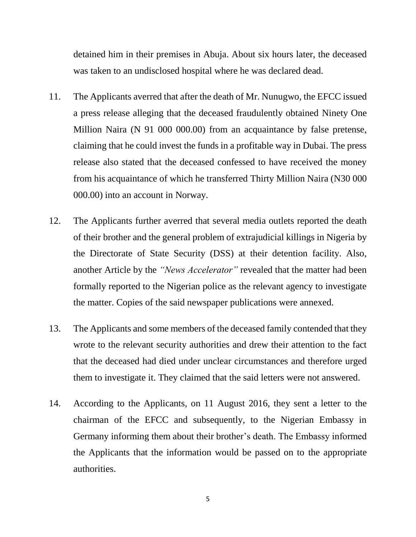detained him in their premises in Abuja. About six hours later, the deceased was taken to an undisclosed hospital where he was declared dead.

- 11. The Applicants averred that after the death of Mr. Nunugwo, the EFCC issued a press release alleging that the deceased fraudulently obtained Ninety One Million Naira (N 91 000 000.00) from an acquaintance by false pretense, claiming that he could invest the funds in a profitable way in Dubai. The press release also stated that the deceased confessed to have received the money from his acquaintance of which he transferred Thirty Million Naira (N30 000 000.00) into an account in Norway.
- 12. The Applicants further averred that several media outlets reported the death of their brother and the general problem of extrajudicial killings in Nigeria by the Directorate of State Security (DSS) at their detention facility. Also, another Article by the *"News Accelerator"* revealed that the matter had been formally reported to the Nigerian police as the relevant agency to investigate the matter. Copies of the said newspaper publications were annexed.
- 13. The Applicants and some members of the deceased family contended that they wrote to the relevant security authorities and drew their attention to the fact that the deceased had died under unclear circumstances and therefore urged them to investigate it. They claimed that the said letters were not answered.
- 14. According to the Applicants, on 11 August 2016, they sent a letter to the chairman of the EFCC and subsequently, to the Nigerian Embassy in Germany informing them about their brother's death. The Embassy informed the Applicants that the information would be passed on to the appropriate authorities.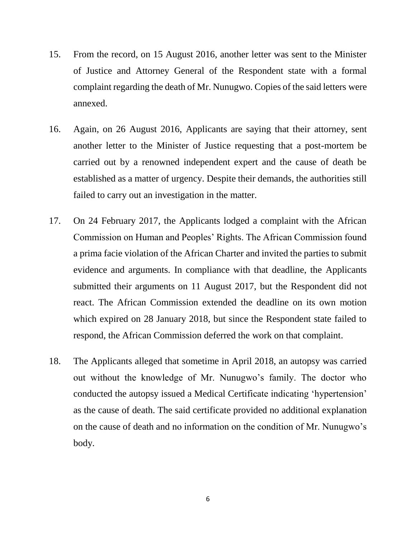- 15. From the record, on 15 August 2016, another letter was sent to the Minister of Justice and Attorney General of the Respondent state with a formal complaint regarding the death of Mr. Nunugwo. Copies of the said letters were annexed.
- 16. Again, on 26 August 2016, Applicants are saying that their attorney, sent another letter to the Minister of Justice requesting that a post-mortem be carried out by a renowned independent expert and the cause of death be established as a matter of urgency. Despite their demands, the authorities still failed to carry out an investigation in the matter.
- 17. On 24 February 2017, the Applicants lodged a complaint with the African Commission on Human and Peoples' Rights. The African Commission found a prima facie violation of the African Charter and invited the parties to submit evidence and arguments. In compliance with that deadline, the Applicants submitted their arguments on 11 August 2017, but the Respondent did not react. The African Commission extended the deadline on its own motion which expired on 28 January 2018, but since the Respondent state failed to respond, the African Commission deferred the work on that complaint.
- 18. The Applicants alleged that sometime in April 2018, an autopsy was carried out without the knowledge of Mr. Nunugwo's family. The doctor who conducted the autopsy issued a Medical Certificate indicating 'hypertension' as the cause of death. The said certificate provided no additional explanation on the cause of death and no information on the condition of Mr. Nunugwo's body.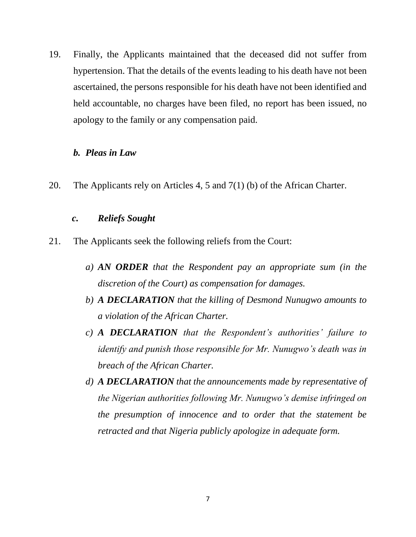19. Finally, the Applicants maintained that the deceased did not suffer from hypertension. That the details of the events leading to his death have not been ascertained, the persons responsible for his death have not been identified and held accountable, no charges have been filed, no report has been issued, no apology to the family or any compensation paid.

#### *b. Pleas in Law*

20. The Applicants rely on Articles 4, 5 and 7(1) (b) of the African Charter.

## *c. Reliefs Sought*

- 21. The Applicants seek the following reliefs from the Court:
	- *a) AN ORDER that the Respondent pay an appropriate sum (in the discretion of the Court) as compensation for damages.*
	- *b) A DECLARATION that the killing of Desmond Nunugwo amounts to a violation of the African Charter.*
	- *c) A DECLARATION that the Respondent's authorities' failure to identify and punish those responsible for Mr. Nunugwo's death was in breach of the African Charter.*
	- *d) A DECLARATION that the announcements made by representative of the Nigerian authorities following Mr. Nunugwo's demise infringed on the presumption of innocence and to order that the statement be retracted and that Nigeria publicly apologize in adequate form.*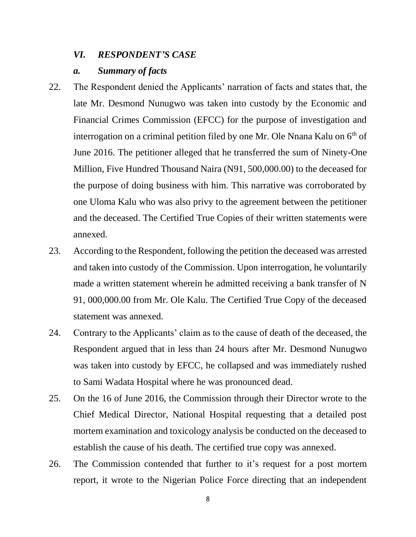#### *VI. RESPONDENT'S CASE*

### *a. Summary of facts*

- 22. The Respondent denied the Applicants' narration of facts and states that, the late Mr. Desmond Nunugwo was taken into custody by the Economic and Financial Crimes Commission (EFCC) for the purpose of investigation and interrogation on a criminal petition filed by one Mr. Ole Nnana Kalu on 6<sup>th</sup> of June 2016. The petitioner alleged that he transferred the sum of Ninety-One Million, Five Hundred Thousand Naira (N91, 500,000.00) to the deceased for the purpose of doing business with him. This narrative was corroborated by one Uloma Kalu who was also privy to the agreement between the petitioner and the deceased. The Certified True Copies of their written statements were annexed.
- 23. According to the Respondent, following the petition the deceased was arrested and taken into custody of the Commission. Upon interrogation, he voluntarily made a written statement wherein he admitted receiving a bank transfer of N 91, 000,000.00 from Mr. Ole Kalu. The Certified True Copy of the deceased statement was annexed.
- 24. Contrary to the Applicants' claim as to the cause of death of the deceased, the Respondent argued that in less than 24 hours after Mr. Desmond Nunugwo was taken into custody by EFCC, he collapsed and was immediately rushed to Sami Wadata Hospital where he was pronounced dead.
- 25. On the 16 of June 2016, the Commission through their Director wrote to the Chief Medical Director, National Hospital requesting that a detailed post mortem examination and toxicology analysis be conducted on the deceased to establish the cause of his death. The certified true copy was annexed.
- 26. The Commission contended that further to it's request for a post mortem report, it wrote to the Nigerian Police Force directing that an independent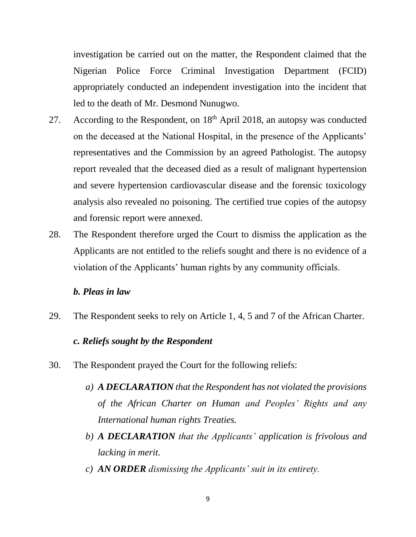investigation be carried out on the matter, the Respondent claimed that the Nigerian Police Force Criminal Investigation Department (FCID) appropriately conducted an independent investigation into the incident that led to the death of Mr. Desmond Nunugwo.

- 27. According to the Respondent, on  $18<sup>th</sup>$  April 2018, an autopsy was conducted on the deceased at the National Hospital, in the presence of the Applicants' representatives and the Commission by an agreed Pathologist. The autopsy report revealed that the deceased died as a result of malignant hypertension and severe hypertension cardiovascular disease and the forensic toxicology analysis also revealed no poisoning. The certified true copies of the autopsy and forensic report were annexed.
- 28. The Respondent therefore urged the Court to dismiss the application as the Applicants are not entitled to the reliefs sought and there is no evidence of a violation of the Applicants' human rights by any community officials.

## *b. Pleas in law*

29. The Respondent seeks to rely on Article 1, 4, 5 and 7 of the African Charter.

## *c. Reliefs sought by the Respondent*

- 30. The Respondent prayed the Court for the following reliefs:
	- *a) A DECLARATION that the Respondent has not violated the provisions of the African Charter on Human and Peoples' Rights and any International human rights Treaties.*
	- *b) A DECLARATION that the Applicants' application is frivolous and lacking in merit.*
	- *c) AN ORDER dismissing the Applicants' suit in its entirety.*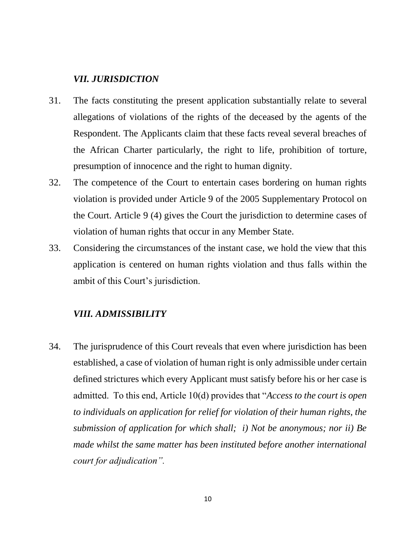## *VII. JURISDICTION*

- 31. The facts constituting the present application substantially relate to several allegations of violations of the rights of the deceased by the agents of the Respondent. The Applicants claim that these facts reveal several breaches of the African Charter particularly, the right to life, prohibition of torture, presumption of innocence and the right to human dignity.
- 32. The competence of the Court to entertain cases bordering on human rights violation is provided under Article 9 of the 2005 Supplementary Protocol on the Court. Article 9 (4) gives the Court the jurisdiction to determine cases of violation of human rights that occur in any Member State.
- 33. Considering the circumstances of the instant case, we hold the view that this application is centered on human rights violation and thus falls within the ambit of this Court's jurisdiction.

## *VIII. ADMISSIBILITY*

34. The jurisprudence of this Court reveals that even where jurisdiction has been established, a case of violation of human right is only admissible under certain defined strictures which every Applicant must satisfy before his or her case is admitted. To this end, Article 10(d) provides that "*Access to the court is open to individuals on application for relief for violation of their human rights, the submission of application for which shall; i) Not be anonymous; nor ii) Be made whilst the same matter has been instituted before another international court for adjudication".*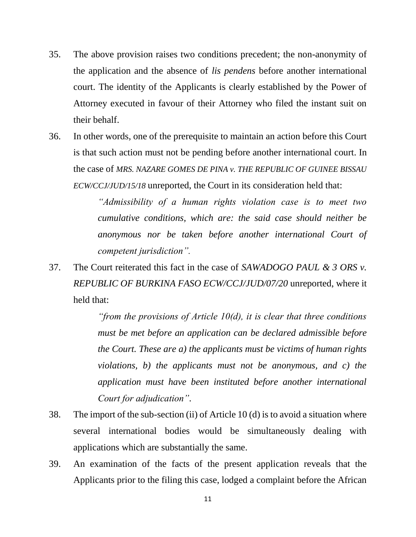- 35. The above provision raises two conditions precedent; the non-anonymity of the application and the absence of *lis pendens* before another international court. The identity of the Applicants is clearly established by the Power of Attorney executed in favour of their Attorney who filed the instant suit on their behalf.
- 36. In other words, one of the prerequisite to maintain an action before this Court is that such action must not be pending before another international court. In the case of *MRS. NAZARE GOMES DE PINA v. THE REPUBLIC OF GUINEE BISSAU ECW/CCJ/JUD/15/18* unreported, the Court in its consideration held that:

*"Admissibility of a human rights violation case is to meet two cumulative conditions, which are: the said case should neither be anonymous nor be taken before another international Court of competent jurisdiction".*

37. The Court reiterated this fact in the case of *SAWADOGO PAUL & 3 ORS v. REPUBLIC OF BURKINA FASO ECW/CCJ/JUD/07/20* unreported, where it held that:

> *"from the provisions of Article 10(d), it is clear that three conditions must be met before an application can be declared admissible before the Court. These are a) the applicants must be victims of human rights violations, b) the applicants must not be anonymous, and c) the application must have been instituted before another international Court for adjudication".*

- 38. The import of the sub-section (ii) of Article 10 (d) is to avoid a situation where several international bodies would be simultaneously dealing with applications which are substantially the same.
- 39. An examination of the facts of the present application reveals that the Applicants prior to the filing this case, lodged a complaint before the African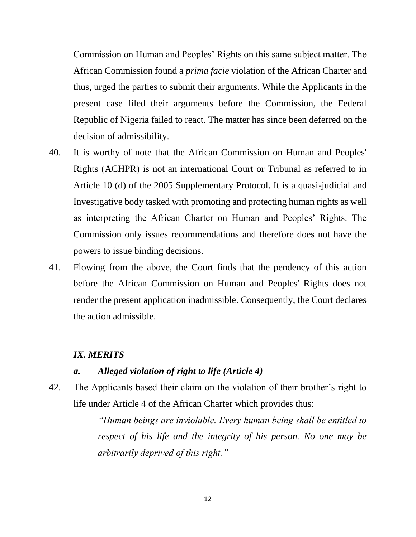Commission on Human and Peoples' Rights on this same subject matter. The African Commission found a *prima facie* violation of the African Charter and thus, urged the parties to submit their arguments. While the Applicants in the present case filed their arguments before the Commission, the Federal Republic of Nigeria failed to react. The matter has since been deferred on the decision of admissibility.

- 40. It is worthy of note that the African Commission on Human and Peoples' Rights (ACHPR) is not an international Court or Tribunal as referred to in Article 10 (d) of the 2005 Supplementary Protocol. It is a quasi-judicial and Investigative body tasked with promoting and protecting human rights as well as interpreting the African Charter on Human and Peoples' Rights. The Commission only issues recommendations and therefore does not have the powers to issue binding decisions.
- 41. Flowing from the above, the Court finds that the pendency of this action before the African Commission on Human and Peoples' Rights does not render the present application inadmissible. Consequently, the Court declares the action admissible.

#### *IX. MERITS*

#### *a. Alleged violation of right to life (Article 4)*

42. The Applicants based their claim on the violation of their brother's right to life under Article 4 of the African Charter which provides thus:

> *"Human beings are inviolable. Every human being shall be entitled to respect of his life and the integrity of his person. No one may be arbitrarily deprived of this right."*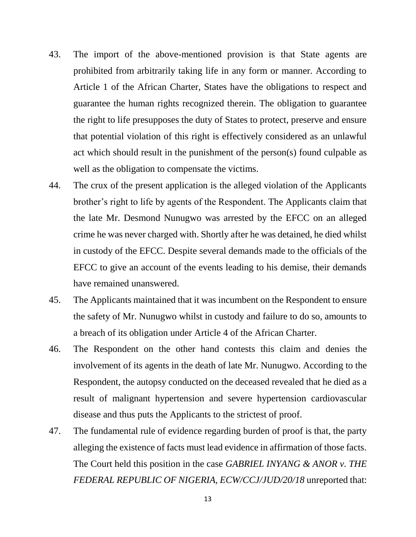- 43. The import of the above-mentioned provision is that State agents are prohibited from arbitrarily taking life in any form or manner. According to Article 1 of the African Charter, States have the obligations to respect and guarantee the human rights recognized therein. The obligation to guarantee the right to life presupposes the duty of States to protect, preserve and ensure that potential violation of this right is effectively considered as an unlawful act which should result in the punishment of the person(s) found culpable as well as the obligation to compensate the victims.
- 44. The crux of the present application is the alleged violation of the Applicants brother's right to life by agents of the Respondent. The Applicants claim that the late Mr. Desmond Nunugwo was arrested by the EFCC on an alleged crime he was never charged with. Shortly after he was detained, he died whilst in custody of the EFCC. Despite several demands made to the officials of the EFCC to give an account of the events leading to his demise, their demands have remained unanswered.
- 45. The Applicants maintained that it was incumbent on the Respondent to ensure the safety of Mr. Nunugwo whilst in custody and failure to do so, amounts to a breach of its obligation under Article 4 of the African Charter.
- 46. The Respondent on the other hand contests this claim and denies the involvement of its agents in the death of late Mr. Nunugwo. According to the Respondent, the autopsy conducted on the deceased revealed that he died as a result of malignant hypertension and severe hypertension cardiovascular disease and thus puts the Applicants to the strictest of proof.
- 47. The fundamental rule of evidence regarding burden of proof is that, the party alleging the existence of facts must lead evidence in affirmation of those facts. The Court held this position in the case *GABRIEL INYANG & ANOR v. THE FEDERAL REPUBLIC OF NIGERIA, ECW/CCJ/JUD/20/18* unreported that: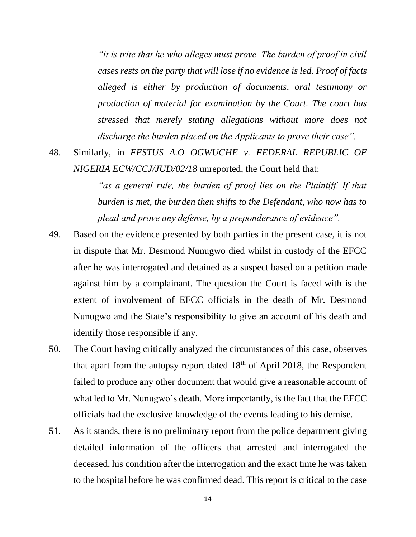*"it is trite that he who alleges must prove. The burden of proof in civil cases rests on the party that will lose if no evidence is led. Proof of facts alleged is either by production of documents, oral testimony or production of material for examination by the Court. The court has stressed that merely stating allegations without more does not discharge the burden placed on the Applicants to prove their case".*

48. Similarly, in *FESTUS A.O OGWUCHE v. FEDERAL REPUBLIC OF NIGERIA ECW/CCJ/JUD/02/18* unreported, the Court held that:

> *as a general rule, the burden of proof lies on the Plaintiff. If that burden is met, the burden then shifts to the Defendant, who now has to plead and prove any defense, by a preponderance of evidence".*

- 49. Based on the evidence presented by both parties in the present case, it is not in dispute that Mr. Desmond Nunugwo died whilst in custody of the EFCC after he was interrogated and detained as a suspect based on a petition made against him by a complainant. The question the Court is faced with is the extent of involvement of EFCC officials in the death of Mr. Desmond Nunugwo and the State's responsibility to give an account of his death and identify those responsible if any.
- 50. The Court having critically analyzed the circumstances of this case, observes that apart from the autopsy report dated  $18<sup>th</sup>$  of April 2018, the Respondent failed to produce any other document that would give a reasonable account of what led to Mr. Nunugwo's death. More importantly, is the fact that the EFCC officials had the exclusive knowledge of the events leading to his demise.
- 51. As it stands, there is no preliminary report from the police department giving detailed information of the officers that arrested and interrogated the deceased, his condition after the interrogation and the exact time he was taken to the hospital before he was confirmed dead. This report is critical to the case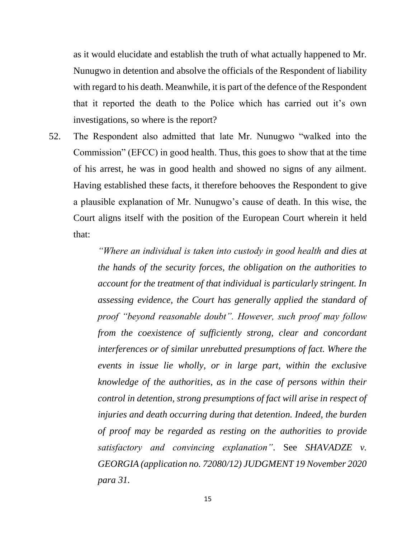as it would elucidate and establish the truth of what actually happened to Mr. Nunugwo in detention and absolve the officials of the Respondent of liability with regard to his death. Meanwhile, it is part of the defence of the Respondent that it reported the death to the Police which has carried out it's own investigations, so where is the report?

52. The Respondent also admitted that late Mr. Nunugwo "walked into the Commission" (EFCC) in good health. Thus, this goes to show that at the time of his arrest, he was in good health and showed no signs of any ailment. Having established these facts, it therefore behooves the Respondent to give a plausible explanation of Mr. Nunugwo's cause of death. In this wise, the Court aligns itself with the position of the European Court wherein it held that:

> *"Where an individual is taken into custody in good health and dies at the hands of the security forces, the obligation on the authorities to account for the treatment of that individual is particularly stringent. In assessing evidence, the Court has generally applied the standard of proof "beyond reasonable doubt". However, such proof may follow from the coexistence of sufficiently strong, clear and concordant interferences or of similar unrebutted presumptions of fact. Where the events in issue lie wholly, or in large part, within the exclusive knowledge of the authorities, as in the case of persons within their control in detention, strong presumptions of fact will arise in respect of injuries and death occurring during that detention. Indeed, the burden of proof may be regarded as resting on the authorities to provide satisfactory and convincing explanation"*. See *SHAVADZE v. GEORGIA (application no. 72080/12) JUDGMENT 19 November 2020 para 31.*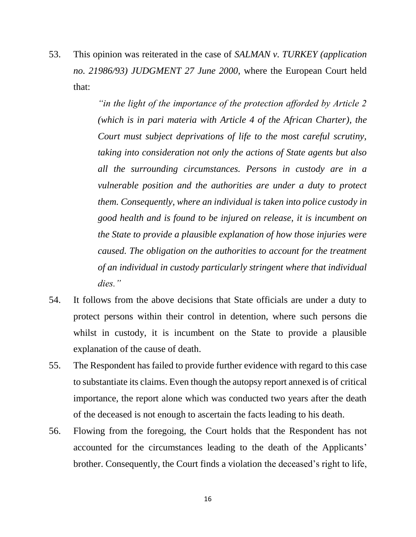53. This opinion was reiterated in the case of *SALMAN v. TURKEY (application no. 21986/93) JUDGMENT 27 June 2000*, where the European Court held that:

> *"in the light of the importance of the protection afforded by Article 2 (which is in pari materia with Article 4 of the African Charter), the Court must subject deprivations of life to the most careful scrutiny, taking into consideration not only the actions of State agents but also all the surrounding circumstances. Persons in custody are in a vulnerable position and the authorities are under a duty to protect them. Consequently, where an individual is taken into police custody in good health and is found to be injured on release, it is incumbent on the State to provide a plausible explanation of how those injuries were caused. The obligation on the authorities to account for the treatment of an individual in custody particularly stringent where that individual dies."*

- 54. It follows from the above decisions that State officials are under a duty to protect persons within their control in detention, where such persons die whilst in custody, it is incumbent on the State to provide a plausible explanation of the cause of death.
- 55. The Respondent has failed to provide further evidence with regard to this case to substantiate its claims. Even though the autopsy report annexed is of critical importance, the report alone which was conducted two years after the death of the deceased is not enough to ascertain the facts leading to his death.
- 56. Flowing from the foregoing, the Court holds that the Respondent has not accounted for the circumstances leading to the death of the Applicants' brother. Consequently, the Court finds a violation the deceased's right to life,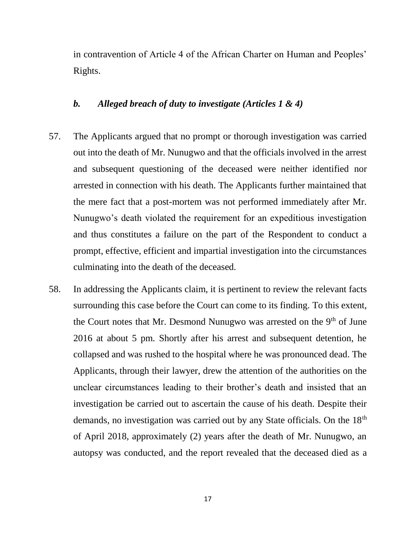in contravention of Article 4 of the African Charter on Human and Peoples' Rights.

## *b. Alleged breach of duty to investigate (Articles 1 & 4)*

- 57. The Applicants argued that no prompt or thorough investigation was carried out into the death of Mr. Nunugwo and that the officials involved in the arrest and subsequent questioning of the deceased were neither identified nor arrested in connection with his death. The Applicants further maintained that the mere fact that a post-mortem was not performed immediately after Mr. Nunugwo's death violated the requirement for an expeditious investigation and thus constitutes a failure on the part of the Respondent to conduct a prompt, effective, efficient and impartial investigation into the circumstances culminating into the death of the deceased.
- 58. In addressing the Applicants claim, it is pertinent to review the relevant facts surrounding this case before the Court can come to its finding. To this extent, the Court notes that Mr. Desmond Nunugwo was arrested on the  $9<sup>th</sup>$  of June 2016 at about 5 pm. Shortly after his arrest and subsequent detention, he collapsed and was rushed to the hospital where he was pronounced dead. The Applicants, through their lawyer, drew the attention of the authorities on the unclear circumstances leading to their brother's death and insisted that an investigation be carried out to ascertain the cause of his death. Despite their demands, no investigation was carried out by any State officials. On the 18<sup>th</sup> of April 2018, approximately (2) years after the death of Mr. Nunugwo, an autopsy was conducted, and the report revealed that the deceased died as a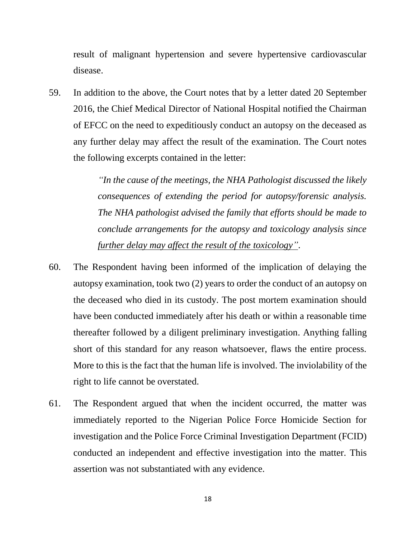result of malignant hypertension and severe hypertensive cardiovascular disease.

59. In addition to the above, the Court notes that by a letter dated 20 September 2016, the Chief Medical Director of National Hospital notified the Chairman of EFCC on the need to expeditiously conduct an autopsy on the deceased as any further delay may affect the result of the examination. The Court notes the following excerpts contained in the letter:

> *"In the cause of the meetings, the NHA Pathologist discussed the likely consequences of extending the period for autopsy/forensic analysis. The NHA pathologist advised the family that efforts should be made to conclude arrangements for the autopsy and toxicology analysis since further delay may affect the result of the toxicology"*.

- 60. The Respondent having been informed of the implication of delaying the autopsy examination, took two (2) years to order the conduct of an autopsy on the deceased who died in its custody. The post mortem examination should have been conducted immediately after his death or within a reasonable time thereafter followed by a diligent preliminary investigation. Anything falling short of this standard for any reason whatsoever, flaws the entire process. More to this is the fact that the human life is involved. The inviolability of the right to life cannot be overstated.
- 61. The Respondent argued that when the incident occurred, the matter was immediately reported to the Nigerian Police Force Homicide Section for investigation and the Police Force Criminal Investigation Department (FCID) conducted an independent and effective investigation into the matter. This assertion was not substantiated with any evidence.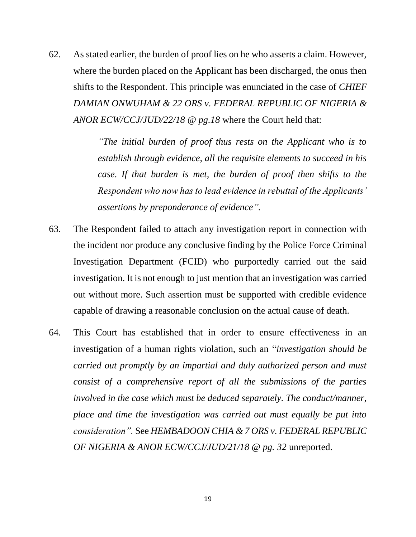62. As stated earlier, the burden of proof lies on he who asserts a claim. However, where the burden placed on the Applicant has been discharged, the onus then shifts to the Respondent. This principle was enunciated in the case of *CHIEF DAMIAN ONWUHAM & 22 ORS v. FEDERAL REPUBLIC OF NIGERIA & ANOR ECW/CCJ/JUD/22/18 @ pg.18* where the Court held that:

> *"The initial burden of proof thus rests on the Applicant who is to establish through evidence, all the requisite elements to succeed in his case. If that burden is met, the burden of proof then shifts to the Respondent who now has to lead evidence in rebuttal of the Applicants' assertions by preponderance of evidence".*

- 63. The Respondent failed to attach any investigation report in connection with the incident nor produce any conclusive finding by the Police Force Criminal Investigation Department (FCID) who purportedly carried out the said investigation. It is not enough to just mention that an investigation was carried out without more. Such assertion must be supported with credible evidence capable of drawing a reasonable conclusion on the actual cause of death.
- 64. This Court has established that in order to ensure effectiveness in an investigation of a human rights violation, such an "*investigation should be carried out promptly by an impartial and duly authorized person and must consist of a comprehensive report of all the submissions of the parties involved in the case which must be deduced separately. The conduct/manner, place and time the investigation was carried out must equally be put into consideration".* See *HEMBADOON CHIA & 7 ORS v. FEDERAL REPUBLIC OF NIGERIA & ANOR ECW/CCJ/JUD/21/18 @ pg. 32* unreported.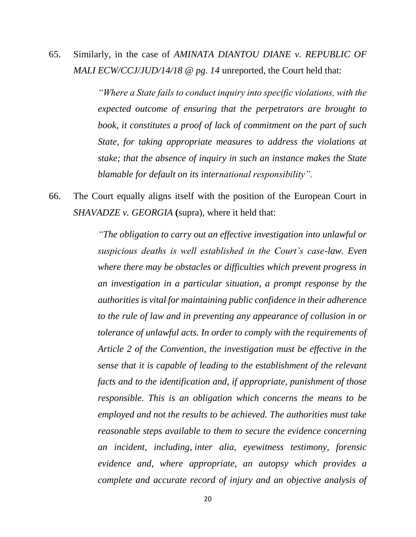65. Similarly, in the case of *AMINATA DIANTOU DIANE v. REPUBLIC OF MALI ECW/CCJ/JUD/14/18 @ pg. 14* unreported, the Court held that:

> *"Where a State fails to conduct inquiry into specific violations, with the expected outcome of ensuring that the perpetrators are brought to book, it constitutes a proof of lack of commitment on the part of such State, for taking appropriate measures to address the violations at stake; that the absence of inquiry in such an instance makes the State blamable for default on its international responsibility".*

66. The Court equally aligns itself with the position of the European Court in *SHAVADZE v. GEORGIA* **(**supra), where it held that:

> *"The obligation to carry out an effective investigation into unlawful or suspicious deaths is well established in the Court's case-law. Even where there may be obstacles or difficulties which prevent progress in an investigation in a particular situation, a prompt response by the authorities is vital for maintaining public confidence in their adherence to the rule of law and in preventing any appearance of collusion in or tolerance of unlawful acts. In order to comply with the requirements of Article 2 of the Convention, the investigation must be effective in the sense that it is capable of leading to the establishment of the relevant facts and to the identification and, if appropriate, punishment of those responsible. This is an obligation which concerns the means to be employed and not the results to be achieved. The authorities must take reasonable steps available to them to secure the evidence concerning an incident, including, inter alia, eyewitness testimony, forensic evidence and, where appropriate, an autopsy which provides a complete and accurate record of injury and an objective analysis of*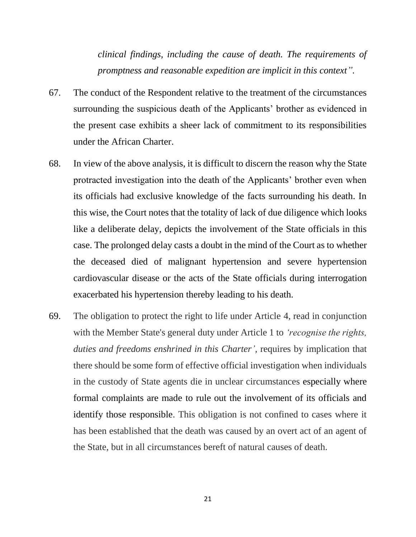*clinical findings, including the cause of death. The requirements of promptness and reasonable expedition are implicit in this context".*

- 67. The conduct of the Respondent relative to the treatment of the circumstances surrounding the suspicious death of the Applicants' brother as evidenced in the present case exhibits a sheer lack of commitment to its responsibilities under the African Charter.
- 68. In view of the above analysis, it is difficult to discern the reason why the State protracted investigation into the death of the Applicants' brother even when its officials had exclusive knowledge of the facts surrounding his death. In this wise, the Court notes that the totality of lack of due diligence which looks like a deliberate delay, depicts the involvement of the State officials in this case. The prolonged delay casts a doubt in the mind of the Court as to whether the deceased died of malignant hypertension and severe hypertension cardiovascular disease or the acts of the State officials during interrogation exacerbated his hypertension thereby leading to his death.
- 69. The obligation to protect the right to life under Article 4, read in conjunction with the Member State's general duty under Article 1 to *'recognise the rights, duties and freedoms enshrined in this Charter',* requires by implication that there should be some form of effective official investigation when individuals in the custody of State agents die in unclear circumstances especially where formal complaints are made to rule out the involvement of its officials and identify those responsible. This obligation is not confined to cases where it has been established that the death was caused by an overt act of an agent of the State, but in all circumstances bereft of natural causes of death.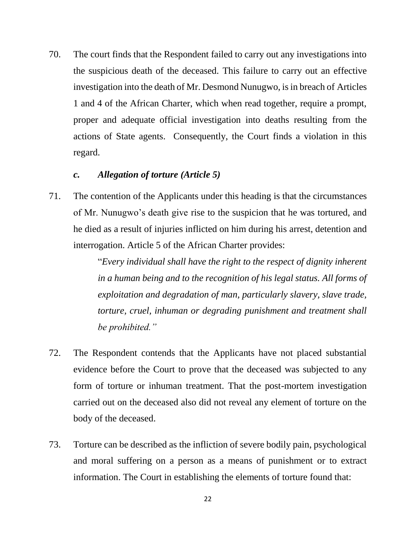70. The court finds that the Respondent failed to carry out any investigations into the suspicious death of the deceased. This failure to carry out an effective investigation into the death of Mr. Desmond Nunugwo, is in breach of Articles 1 and 4 of the African Charter, which when read together, require a prompt, proper and adequate official investigation into deaths resulting from the actions of State agents. Consequently, the Court finds a violation in this regard.

# *c. Allegation of torture (Article 5)*

71. The contention of the Applicants under this heading is that the circumstances of Mr. Nunugwo's death give rise to the suspicion that he was tortured, and he died as a result of injuries inflicted on him during his arrest, detention and interrogation. Article 5 of the African Charter provides:

> "*Every individual shall have the right to the respect of dignity inherent in a human being and to the recognition of his legal status. All forms of exploitation and degradation of man, particularly slavery, slave trade, torture, cruel, inhuman or degrading punishment and treatment shall be prohibited."*

- 72. The Respondent contends that the Applicants have not placed substantial evidence before the Court to prove that the deceased was subjected to any form of torture or inhuman treatment. That the post-mortem investigation carried out on the deceased also did not reveal any element of torture on the body of the deceased.
- 73. Torture can be described as the infliction of severe bodily pain, psychological and moral suffering on a person as a means of punishment or to extract information. The Court in establishing the elements of torture found that: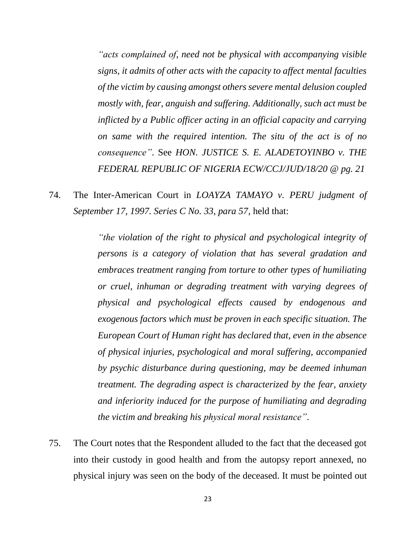*"acts complained of, need not be physical with accompanying visible signs, it admits of other acts with the capacity to affect mental faculties of the victim by causing amongst others severe mental delusion coupled mostly with, fear, anguish and suffering. Additionally, such act must be inflicted by a Public officer acting in an official capacity and carrying on same with the required intention. The situ of the act is of no consequence"*. See *HON. JUSTICE S. E. ALADETOYINBO v. THE FEDERAL REPUBLIC OF NIGERIA ECW/CCJ/JUD/18/20 @ pg. 21*

74. The Inter-American Court in *LOAYZA TAMAYO v. PERU judgment of September 17, 1997. Series C No. 33, para 57*, held that:

> *"the violation of the right to physical and psychological integrity of persons is a category of violation that has several gradation and embraces treatment ranging from torture to other types of humiliating or cruel, inhuman or degrading treatment with varying degrees of physical and psychological effects caused by endogenous and exogenous factors which must be proven in each specific situation. The European Court of Human right has declared that, even in the absence of physical injuries, psychological and moral suffering, accompanied by psychic disturbance during questioning, may be deemed inhuman treatment. The degrading aspect is characterized by the fear, anxiety and inferiority induced for the purpose of humiliating and degrading the victim and breaking his physical moral resistance"*.

75. The Court notes that the Respondent alluded to the fact that the deceased got into their custody in good health and from the autopsy report annexed, no physical injury was seen on the body of the deceased. It must be pointed out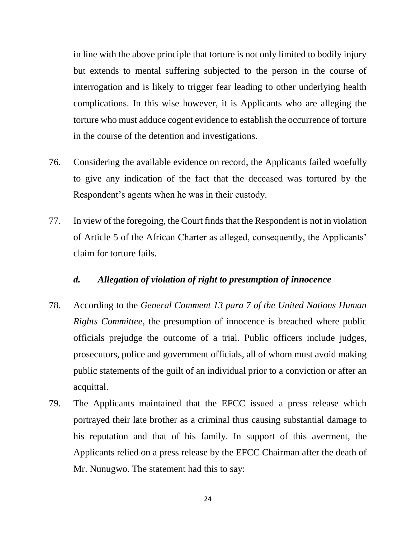in line with the above principle that torture is not only limited to bodily injury but extends to mental suffering subjected to the person in the course of interrogation and is likely to trigger fear leading to other underlying health complications. In this wise however, it is Applicants who are alleging the torture who must adduce cogent evidence to establish the occurrence of torture in the course of the detention and investigations.

- 76. Considering the available evidence on record, the Applicants failed woefully to give any indication of the fact that the deceased was tortured by the Respondent's agents when he was in their custody.
- 77. In view of the foregoing, the Court finds that the Respondent is not in violation of Article 5 of the African Charter as alleged, consequently, the Applicants' claim for torture fails.

#### *d. Allegation of violation of right to presumption of innocence*

- 78. According to the *General Comment 13 para 7 of the United Nations Human Rights Committee*, the presumption of innocence is breached where public officials prejudge the outcome of a trial. Public officers include judges, prosecutors, police and government officials, all of whom must avoid making public statements of the guilt of an individual prior to a conviction or after an acquittal.
- 79. The Applicants maintained that the EFCC issued a press release which portrayed their late brother as a criminal thus causing substantial damage to his reputation and that of his family. In support of this averment, the Applicants relied on a press release by the EFCC Chairman after the death of Mr. Nunugwo. The statement had this to say: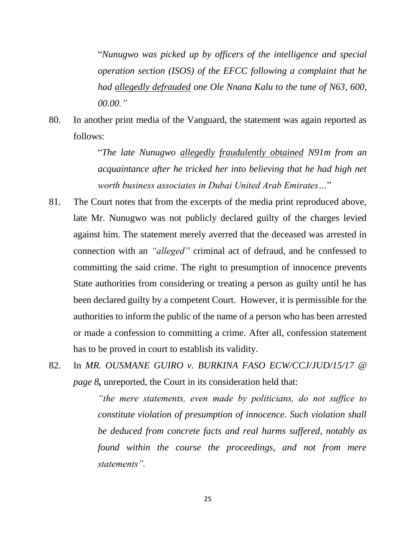"*Nunugwo was picked up by officers of the intelligence and special operation section (ISOS) of the EFCC following a complaint that he had allegedly defrauded one Ole Nnana Kalu to the tune of N63, 600, 00.00."*

80. In another print media of the Vanguard, the statement was again reported as follows:

> "*The late Nunugwo allegedly fraudulently obtained N91m from an acquaintance after he tricked her into believing that he had high net worth business associates in Dubai United Arab Emirates…*"

- 81. The Court notes that from the excerpts of the media print reproduced above, late Mr. Nunugwo was not publicly declared guilty of the charges levied against him. The statement merely averred that the deceased was arrested in connection with an *"alleged"* criminal act of defraud, and he confessed to committing the said crime. The right to presumption of innocence prevents State authorities from considering or treating a person as guilty until he has been declared guilty by a competent Court. However, it is permissible for the authorities to inform the public of the name of a person who has been arrested or made a confession to committing a crime. After all, confession statement has to be proved in court to establish its validity.
- 82. In *MR. OUSMANE GUIRO v. BURKINA FASO ECW/CCJ/JUD/15/17 @ page 8,* unreported, the Court in its consideration held that:

*"the mere statements, even made by politicians, do not suffice to constitute violation of presumption of innocence. Such violation shall be deduced from concrete facts and real harms suffered, notably as found within the course the proceedings, and not from mere statements".*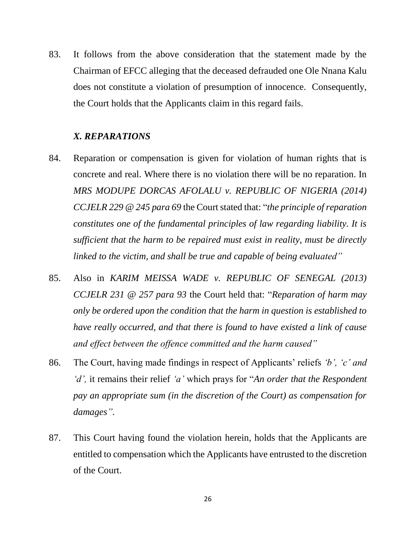83. It follows from the above consideration that the statement made by the Chairman of EFCC alleging that the deceased defrauded one Ole Nnana Kalu does not constitute a violation of presumption of innocence. Consequently, the Court holds that the Applicants claim in this regard fails.

#### *X. REPARATIONS*

- 84. Reparation or compensation is given for violation of human rights that is concrete and real. Where there is no violation there will be no reparation. In MRS MODUPE DORCAS AFOLALU v. REPUBLIC OF NIGERIA (2014) *CCJELR 229 @ 245 para 69* the Court stated that: "*the principle of reparation constitutes one of the fundamental principles of law regarding liability. It is sufficient that the harm to be repaired must exist in reality, must be directly linked to the victim, and shall be true and capable of being evaluated"*
- 85. Also in *KARIM MEISSA WADE v. REPUBLIC OF SENEGAL (2013) CCJELR 231 @ 257 para 93* the Court held that: "*Reparation of harm may only be ordered upon the condition that the harm in question is established to have really occurred, and that there is found to have existed a link of cause and effect between the offence committed and the harm caused"*
- 86. The Court, having made findings in respect of Applicants' reliefs *'b', 'c' and 'd',* it remains their relief *'a'* which prays for "*An order that the Respondent pay an appropriate sum (in the discretion of the Court) as compensation for damages".*
- 87. This Court having found the violation herein, holds that the Applicants are entitled to compensation which the Applicants have entrusted to the discretion of the Court.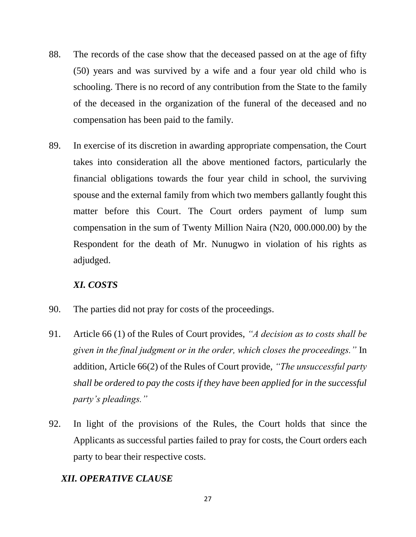- 88. The records of the case show that the deceased passed on at the age of fifty (50) years and was survived by a wife and a four year old child who is schooling. There is no record of any contribution from the State to the family of the deceased in the organization of the funeral of the deceased and no compensation has been paid to the family.
- 89. In exercise of its discretion in awarding appropriate compensation, the Court takes into consideration all the above mentioned factors, particularly the financial obligations towards the four year child in school, the surviving spouse and the external family from which two members gallantly fought this matter before this Court. The Court orders payment of lump sum compensation in the sum of Twenty Million Naira (N20, 000.000.00) by the Respondent for the death of Mr. Nunugwo in violation of his rights as adjudged.

# *XI. COSTS*

- 90. The parties did not pray for costs of the proceedings.
- 91. Article 66 (1) of the Rules of Court provides, *"A decision as to costs shall be given in the final judgment or in the order, which closes the proceedings."* In addition, Article 66(2) of the Rules of Court provide, *"The unsuccessful party shall be ordered to pay the costs if they have been applied for in the successful party's pleadings."*
- 92. In light of the provisions of the Rules, the Court holds that since the Applicants as successful parties failed to pray for costs, the Court orders each party to bear their respective costs.

# *XII. OPERATIVE CLAUSE*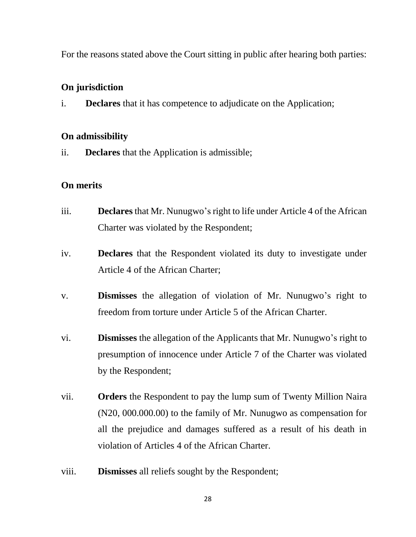For the reasons stated above the Court sitting in public after hearing both parties:

## **On jurisdiction**

i. **Declares** that it has competence to adjudicate on the Application;

## **On admissibility**

ii. **Declares** that the Application is admissible;

# **On merits**

- iii. **Declares** that Mr. Nunugwo's right to life under Article 4 of the African Charter was violated by the Respondent;
- iv. **Declares** that the Respondent violated its duty to investigate under Article 4 of the African Charter;
- v. **Dismisses** the allegation of violation of Mr. Nunugwo's right to freedom from torture under Article 5 of the African Charter.
- vi. **Dismisses** the allegation of the Applicants that Mr. Nunugwo's right to presumption of innocence under Article 7 of the Charter was violated by the Respondent;
- vii. **Orders** the Respondent to pay the lump sum of Twenty Million Naira (N20, 000.000.00) to the family of Mr. Nunugwo as compensation for all the prejudice and damages suffered as a result of his death in violation of Articles 4 of the African Charter.
- viii. **Dismisses** all reliefs sought by the Respondent;